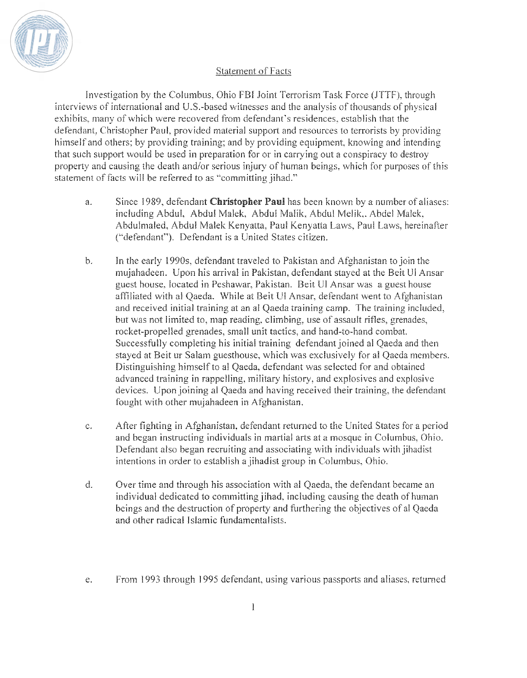

## **Statement of Facts**

Investigation by the Columbus, Ohio FBI Joint Terrorism Task Force (JTTF), through interviews of international and U.S.-based witnesses and the analysis of thousands of physical exhibits, many of which were recovered from defendant's residences, establish that the defendant, Christopher Paul, provided material support and resources to terrorists by providing himself and others; by providing training; and by providing equipment, knowing and intending that such support would be used in preparation for or in carrying out a conspiracy to destroy property and causing the death and/or serious injury of human beings, which for purposes of this statement of facts will be referred to as "committing jihad."

- a. Since 1989. defendant **Christopher** Paul has been known by a number of aliases: including Abdul, Abdul Malek, Abdul Malik, Abdul Melik,. Abdel Malek, Abdulmaled, Abdul Malek Kenyatta, Paul Kenyatta Laws, Paul Laws, hereinafter ("defendant"). Defendant is a United Stales citizen.
- b. In the early 1990s. defendant traveled to Pakisran and Afghanistan to join the mujahadeen. Upon his arrival in Pakistan, defendant stayed at the Beit Ul Ansar guest house. located in Peshawar. Pakistan. Beit UI Ansar was a guest house affiliated with al Qaeda. While at Beit Ul Ansar, defendant went to Afghanistan and received initial training at an al Qaeda training camp. The training included, hut was not limited to. map reading. climbing, use of assault rifles, grenades. rocket-propelled grenades, small unit tactics, and hand-to-hand combat. Successfully completing his initial training defendant joined al Qaeda and then stayed at Beit ur Salam guesthouse, which was exclusively for al Qaeda members. Distinguishing himself to al Qaeda, defendant was selected for and obtained advanced training in rappelling. military history, and explosives and expiosive devices. Upon joining al Qaeda and having received their training, the defendant fought with other mujahadeen in Afghanistan.
- c. After fighting in Afghanistan, defendant returned to the United States for a period and began instructing individuals in martial arts at a mosque in Columbus, Ohio. Defendant also began recruiting and associating with individuals with jihadist intentions in order to establish a jihadist group in Columbus, Ohio.
- d. Over time and through his association with al Qaeda, the defendant became an individual dedicated to committing jihad, including causing the death of human beings and the destruction of property and furthering the objectives of al Qaeda and other radical Islamic fundamentalists.
- e. From 1993 through 1995 defendant, using various passports and aliases, returned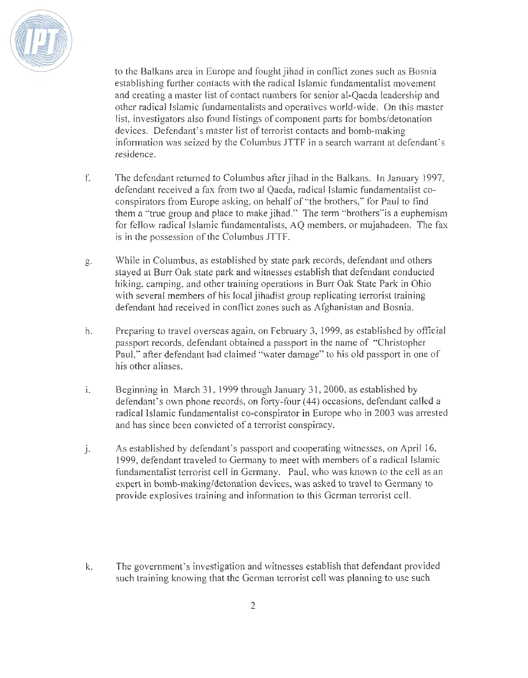

to the Balkans area in Europe and fought jihad in conflict zones such as Bosnia establishing further contacts with the radical Islamic fundamentalist movement and creating a master list of contact numbers for senior al-Oaeda leadership and other radical Islamic fundamentalists and operatives world-wide. On this master list, investigators also found listings of component parts for bombs/detonation devices. Defendant's master list of terrorist contacts and bomb-making information was seized by the Columbus JTTF in a search warrant at defendant's residence.

- f. The defendant returned to Columbus after jihad in the Balkans. In January 1997, defendant received a fax from two al Qaeda, radical Islamic fundamentalist coconspirators from Europe asking, on behalf of "the brothers," for Paul to find them a "true group and place to make jihad." The term "brothers" is a euphemism for fellow radical Islamic fundamentalists, AQ members, or mujahadeen. The fax is in the possession of the Columbus JTTF.
- While in Columbus, as established by state park records, defendant and others  $g.$ stayed at Burr Oak state park and witnesses establish that defendant conducted hiking, camping, and other training operations in Burr Oak State Park in Ohio with several members of his local jihadist group replicating terrorist training defendant had received in conflict zones such as Afghanistan and Bosnia.
- h. Preparing to travel overseas again, on February 3, 1999, as established by official passport records, defendant obtained a passport in the name of "Christopher Paul," after defendant had claimed "water damage" to his old passport in one of his other aliases.
- $\ddot{\mathbf{r}}$ Beginning in March 31, 1999 through January 31, 2000, as established by defendant's own phone records, on forty-four (44) occasions, defendant called a radical Islamic fundamentalist co-conspirator in Europe who in 2003 was arrested and has since been convicted of a terrorist conspiracy.
- ì. As established by defendant's passport and cooperating witnesses, on April 16, 1999, defendant traveled to Germany to meet with members of a radical Islamic fundamentalist terrorist cell in Germany. Paul, who was known to the cell as an expert in bomb-making/detonation devices, was asked to travel to Germany to provide explosives training and information to this German terrorist cell.
- The government's investigation and witnesses establish that defendant provided k. such training knowing that the German terrorist cell was planning to use such